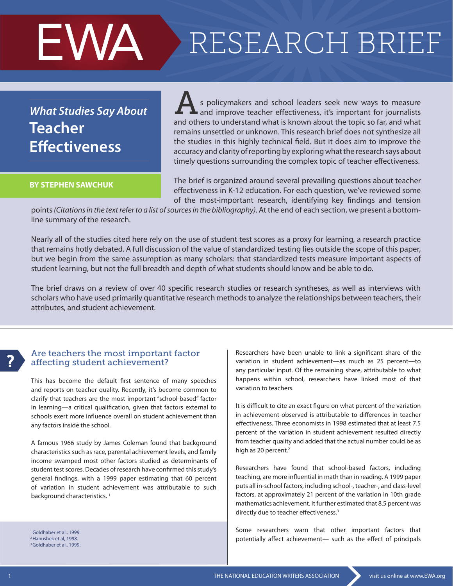# RESEARCH BRIEF

# *What Studies Say About* **Teacher Effectiveness**

EWA

#### **BY STEPHEN SAWCHUK**

s policymakers and school leaders seek new ways to measure s policymakers and school leaders seek new ways to measure<br>and improve teacher effectiveness, it's important for journalists and others to understand what is known about the topic so far, and what remains unsettled or unknown. This research brief does not synthesize all the studies in this highly technical field. But it does aim to improve the accuracy and clarity of reporting by exploring what the research says about timely questions surrounding the complex topic of teacher effectiveness.

The brief is organized around several prevailing questions about teacher effectiveness in K-12 education. For each question, we've reviewed some of the most-important research, identifying key findings and tension

points *(Citations in the text refer to a list of sources in the bibliography)*. At the end of each section, we present a bottomline summary of the research.

Nearly all of the studies cited here rely on the use of student test scores as a proxy for learning, a research practice that remains hotly debated. A full discussion of the value of standardized testing lies outside the scope of this paper, but we begin from the same assumption as many scholars: that standardized tests measure important aspects of student learning, but not the full breadth and depth of what students should know and be able to do.

The brief draws on a review of over 40 specific research studies or research syntheses, as well as interviews with scholars who have used primarily quantitative research methods to analyze the relationships between teachers, their attributes, and student achievement.

# ?

#### Are teachers the most important factor affecting student achievement?

This has become the default first sentence of many speeches and reports on teacher quality. Recently, it's become common to clarify that teachers are the most important "school-based" factor in learning—a critical qualification, given that factors external to schools exert more influence overall on student achievement than any factors inside the school.

A famous 1966 study by James Coleman found that background characteristics such as race, parental achievement levels, and family income swamped most other factors studied as determinants of student test scores. Decades of research have confirmed this study's general findings, with a 1999 paper estimating that 60 percent of variation in student achievement was attributable to such background characteristics.<sup>1</sup>

<sup>1</sup> Goldhaber et al., 1999. 2 Hanushek et al, 1998. <sup>3</sup> Goldhaber et al., 1999. Researchers have been unable to link a significant share of the variation in student achievement—as much as 25 percent—to any particular input. Of the remaining share, attributable to what happens within school, researchers have linked most of that variation to teachers.

It is difficult to cite an exact figure on what percent of the variation in achievement observed is attributable to differences in teacher effectiveness. Three economists in 1998 estimated that at least 7.5 percent of the variation in student achievement resulted directly from teacher quality and added that the actual number could be as high as 20 percent.<sup>2</sup>

Researchers have found that school-based factors, including teaching, are more influential in math than in reading. A 1999 paper puts all in-school factors, including school-, teacher-, and class-level factors, at approximately 21 percent of the variation in 10th grade mathematics achievement. It further estimated that 8.5 percent was directly due to teacher effectiveness.<sup>3</sup>

Some researchers warn that other important factors that potentially affect achievement— such as the effect of principals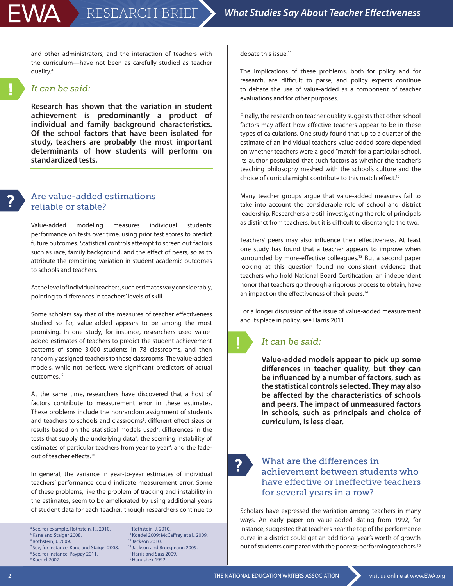and other administrators, and the interaction of teachers with the curriculum—have not been as carefully studied as teacher quality.4

#### *It can be said:*

**Research has shown that the variation in student achievement is predominantly a product of individual and family background characteristics. Of the school factors that have been isolated for study, teachers are probably the most important determinants of how students will perform on standardized tests.**

!

#### Are value-added estimations reliable or stable?

Value-added modeling measures individual students' performance on tests over time, using prior test scores to predict future outcomes. Statistical controls attempt to screen out factors such as race, family background, and the effect of peers, so as to attribute the remaining variation in student academic outcomes to schools and teachers.

At the level of individual teachers, such estimates vary considerably, pointing to differences in teachers' levels of skill.

Some scholars say that of the measures of teacher effectiveness studied so far, value-added appears to be among the most promising. In one study, for instance, researchers used valueadded estimates of teachers to predict the student-achievement patterns of some 3,000 students in 78 classrooms, and then randomly assigned teachers to these classrooms. The value-added models, while not perfect, were significant predictors of actual outcomes.<sup>5</sup>

At the same time, researchers have discovered that a host of factors contribute to measurement error in these estimates. These problems include the nonrandom assignment of students and teachers to schools and classrooms<sup>6</sup>; different effect sizes or results based on the statistical models used<sup>7</sup>; differences in the tests that supply the underlying data<sup>8</sup>; the seeming instability of estimates of particular teachers from year to year<sup>9</sup>; and the fadeout of teacher effects.10

In general, the variance in year-to-year estimates of individual teachers' performance could indicate measurement error. Some of these problems, like the problem of tracking and instability in the estimates, seem to be ameliorated by using additional years of student data for each teacher, though researchers continue to

4 See, for example, Rothstein, R., 2010. 5 Kane and Staiger 2008. 6 Rothstein, J. 2009. <sup>7</sup> See, for instance, Kane and Staiger 2008. <sup>8</sup> See, for instance, Paypay 2011. 9 Koedel 2007.

10 Rothstein, J. 2010. <sup>11</sup> Koedel 2009; McCaffrey et al., 2009. 12 Jackson 2010. 13 Jackson and Bruegmann 2009. <sup>14</sup> Harris and Sass 2009. 15 Hanushek 1992.

debate this issue.11

The implications of these problems, both for policy and for research, are difficult to parse, and policy experts continue to debate the use of value-added as a component of teacher evaluations and for other purposes.

Finally, the research on teacher quality suggests that other school factors may affect how effective teachers appear to be in these types of calculations. One study found that up to a quarter of the estimate of an individual teacher's value-added score depended on whether teachers were a good "match" for a particular school. Its author postulated that such factors as whether the teacher's teaching philosophy meshed with the school's culture and the choice of curricula might contribute to this match effect.<sup>12</sup>

Many teacher groups argue that value-added measures fail to take into account the considerable role of school and district leadership. Researchers are still investigating the role of principals as distinct from teachers, but it is difficult to disentangle the two.

Teachers' peers may also influence their effectiveness. At least one study has found that a teacher appears to improve when surrounded by more-effective colleagues.<sup>13</sup> But a second paper looking at this question found no consistent evidence that teachers who hold National Board Certification, an independent honor that teachers go through a rigorous process to obtain, have an impact on the effectiveness of their peers.<sup>14</sup>

For a longer discussion of the issue of value-added measurement and its place in policy, see Harris 2011.

# !

## *It can be said:*

**Value-added models appear to pick up some differences in teacher quality, but they can be influenced by a number of factors, such as the statistical controls selected. They may also be affected by the characteristics of schools and peers. The impact of unmeasured factors in schools, such as principals and choice of curriculum, is less clear.**

?

### What are the differences in achievement between students who have effective or ineffective teachers for several years in a row?

Scholars have expressed the variation among teachers in many ways. An early paper on value-added dating from 1992, for instance, suggested that teachers near the top of the performance curve in a district could get an additional year's worth of growth out of students compared with the poorest-performing teachers.<sup>15</sup>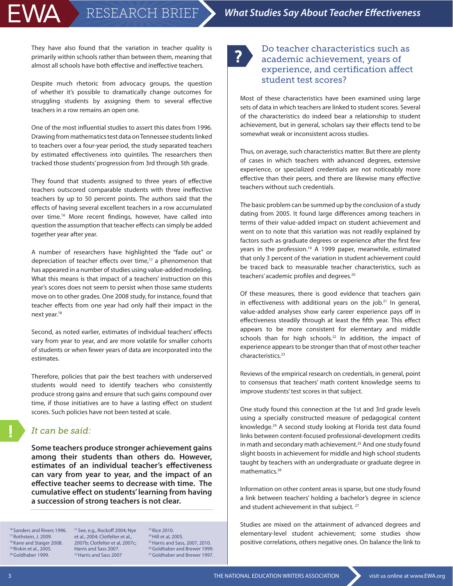They have also found that the variation in teacher quality is primarily within schools rather than between them, meaning that almost all schools have both effective and ineffective teachers.

EWA

Despite much rhetoric from advocacy groups, the question of whether it's possible to dramatically change outcomes for struggling students by assigning them to several effective teachers in a row remains an open one.

One of the most influential studies to assert this dates from 1996. Drawing from mathematics test data on Tennessee students linked to teachers over a four-year period, the study separated teachers by estimated effectiveness into quintiles. The researchers then tracked those students' progression from 3rd through 5th grade.

They found that students assigned to three years of effective teachers outscored comparable students with three ineffective teachers by up to 50 percent points. The authors said that the effects of having several excellent teachers in a row accumulated over time.<sup>16</sup> More recent findings, however, have called into question the assumption that teacher effects can simply be added together year after year.

A number of researchers have highlighted the "fade out" or depreciation of teacher effects over time, $17$  a phenomenon that has appeared in a number of studies using value-added modeling. What this means is that impact of a teachers' instruction on this year's scores does not seem to persist when those same students move on to other grades. One 2008 study, for instance, found that teacher effects from one year had only half their impact in the next year.<sup>18</sup>

Second, as noted earlier, estimates of individual teachers' effects vary from year to year, and are more volatile for smaller cohorts of students or when fewer years of data are incorporated into the estimates.

Therefore, policies that pair the best teachers with underserved students would need to identify teachers who consistently produce strong gains and ensure that such gains compound over time, if those initiatives are to have a lasting effect on student scores. Such policies have not been tested at scale.

#### *It can be said:*

**Some teachers produce stronger achievement gains among their students than others do. However, estimates of an individual teacher's effectiveness can vary from year to year, and the impact of an effective teacher seems to decrease with time. The cumulative effect on students' learning from having a succession of strong teachers is not clear.**

16 Sanders and Rivers 1996. 17 Rothstein, J. 2009. <sup>18</sup> Kane and Staiger 2008. 19 Rivkin et al., 2005. <sup>20</sup> Goldhaber 1999.

21 See, e.g., Rockoff 2004; Nye et al., 2004; Clotfelter et al., 2007b; Clotfelter et al, 2007c; Harris and Sass 2007. 22 Harris and Sass 2007

23 Rice 2010. 24 Hill et al, 2005. 25 Harris and Sass, 2007, 2010. 26 Goldhaber and Brewer 1999. 27 Goldhaber and Brewer 1997.

# ?

## Do teacher characteristics such as academic achievement, years of experience, and certification affect student test scores?

Most of these characteristics have been examined using large sets of data in which teachers are linked to student scores. Several of the characteristics do indeed bear a relationship to student achievement, but in general, scholars say their effects tend to be somewhat weak or inconsistent across studies.

Thus, on average, such characteristics matter. But there are plenty of cases in which teachers with advanced degrees, extensive experience, or specialized credentials are not noticeably more effective than their peers, and there are likewise many effective teachers without such credentials.

The basic problem can be summed up by the conclusion of a study dating from 2005. It found large differences among teachers in terms of their value-added impact on student achievement and went on to note that this variation was not readily explained by factors such as graduate degrees or experience after the first few years in the profession.<sup>19</sup> A 1999 paper, meanwhile, estimated that only 3 percent of the variation in student achievement could be traced back to measurable teacher characteristics, such as teachers' academic profiles and degrees.<sup>20</sup>

Of these measures, there is good evidence that teachers gain in effectiveness with additional years on the job. $21$  In general, value-added analyses show early career experience pays off in effectiveness steadily through at least the fifth year. This effect appears to be more consistent for elementary and middle schools than for high schools.<sup>22</sup> In addition, the impact of experience appears to be stronger than that of most other teacher characteristics.23

Reviews of the empirical research on credentials, in general, point to consensus that teachers' math content knowledge seems to improve students' test scores in that subject.

One study found this connection at the 1st and 3rd grade levels using a specially constructed measure of pedagogical content knowledge.24 A second study looking at Florida test data found links between content-focused professional-development credits in math and secondary math achievement.<sup>25</sup> And one study found slight boosts in achievement for middle and high school students taught by teachers with an undergraduate or graduate degree in mathematics.26

Information on other content areas is sparse, but one study found a link between teachers' holding a bachelor's degree in science and student achievement in that subject.<sup>27</sup>

Studies are mixed on the attainment of advanced degrees and elementary-level student achievement; some studies show positive correlations, others negative ones. On balance the link to

!<br>!

3 THE NATIONAL EDUCATION WRITERS ASSOCIATION visit us online at www.EWA.org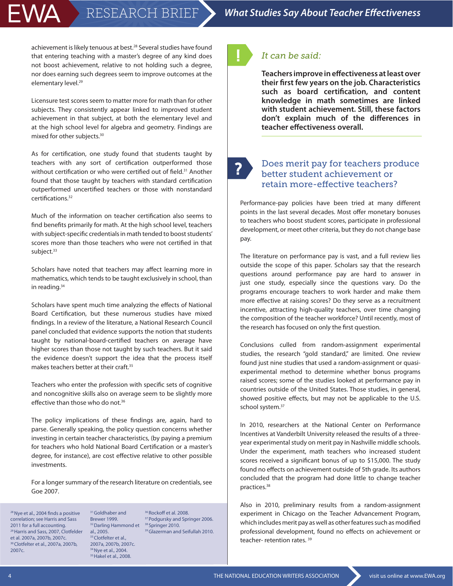# EWA

achievement is likely tenuous at best.<sup>28</sup> Several studies have found that entering teaching with a master's degree of any kind does not boost achievement, relative to not holding such a degree, nor does earning such degrees seem to improve outcomes at the elementary level.<sup>29</sup>

Licensure test scores seem to matter more for math than for other subjects. They consistently appear linked to improved student achievement in that subject, at both the elementary level and at the high school level for algebra and geometry. Findings are mixed for other subjects.30

As for certification, one study found that students taught by teachers with any sort of certification outperformed those without certification or who were certified out of field.<sup>31</sup> Another found that those taught by teachers with standard certification outperformed uncertified teachers or those with nonstandard certifications.32

Much of the information on teacher certification also seems to find benefits primarily for math. At the high school level, teachers with subject-specific credentials in math tended to boost students' scores more than those teachers who were not certified in that subject.<sup>33</sup>

Scholars have noted that teachers may affect learning more in mathematics, which tends to be taught exclusively in school, than in reading.34

Scholars have spent much time analyzing the effects of National Board Certification, but these numerous studies have mixed findings. In a review of the literature, a National Research Council panel concluded that evidence supports the notion that students taught by national-board-certified teachers on average have higher scores than those not taught by such teachers. But it said the evidence doesn't support the idea that the process itself makes teachers better at their craft.35

Teachers who enter the profession with specific sets of cognitive and noncognitive skills also on average seem to be slightly more effective than those who do not.<sup>36</sup>

The policy implications of these findings are, again, hard to parse. Generally speaking, the policy question concerns whether investing in certain teacher characteristics, (by paying a premium for teachers who hold National Board Certification or a master's degree, for instance), are cost effective relative to other possible investments.

For a longer summary of the research literature on credentials, see Goe 2007.

<sup>28</sup> Nye et al., 2004 finds a positive correlation; see Harris and Sass 2011 for a full accounting. 29 Harris and Sass, 2007, Clotfelder et al. 2007a, 2007b, 2007c. 30 Clotfelter et al., 2007a, 2007b, 2007c.

<sup>32</sup> Darling Hammond et <sup>38</sup> Springer 2010. 31 Goldhaber and Brewer 1999. al., 2005. <sup>33</sup> Clotfelter et al., 2007a, 2007b, 2007c. <sup>34</sup> Nye et al., 2004. <sup>35</sup> Hakel et al., 2008.

<sup>36</sup> Rockoff et al. 2008. <sup>37</sup> Podgursky and Springer 2006. 39 Glazerman and Seifullah 2010. !

# *It can be said:*

**Teachers improve in effectiveness at least over their first few years on the job. Characteristics such as board certification, and content knowledge in math sometimes are linked with student achievement. Still, these factors don't explain much of the differences in teacher effectiveness overall.**

?

### Does merit pay for teachers produce better student achievement or retain more-effective teachers?

Performance-pay policies have been tried at many different points in the last several decades. Most offer monetary bonuses to teachers who boost student scores, participate in professional development, or meet other criteria, but they do not change base pay.

The literature on performance pay is vast, and a full review lies outside the scope of this paper. Scholars say that the research questions around performance pay are hard to answer in just one study, especially since the questions vary. Do the programs encourage teachers to work harder and make them more effective at raising scores? Do they serve as a recruitment incentive, attracting high-quality teachers, over time changing the composition of the teacher workforce? Until recently, most of the research has focused on only the first question.

Conclusions culled from random-assignment experimental studies, the research "gold standard," are limited. One review found just nine studies that used a random-assignment or quasiexperimental method to determine whether bonus programs raised scores; some of the studies looked at performance pay in countries outside of the United States. Those studies, in general, showed positive effects, but may not be applicable to the U.S. school system.<sup>37</sup>

In 2010, researchers at the National Center on Performance Incentives at Vanderbilt University released the results of a threeyear experimental study on merit pay in Nashville middle schools. Under the experiment, math teachers who increased student scores received a significant bonus of up to \$15,000. The study found no effects on achievement outside of 5th grade. Its authors concluded that the program had done little to change teacher practices.38

Also in 2010, preliminary results from a random-assignment experiment in Chicago on the Teacher Advancement Program, which includes merit pay as well as other features such as modified professional development, found no effects on achievement or teacher- retention rates.<sup>39</sup>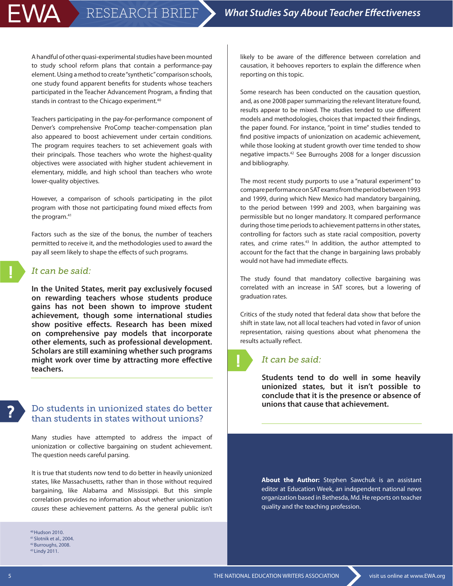A handful of other quasi-experimental studies have been mounted to study school reform plans that contain a performance-pay element. Using a method to create "synthetic" comparison schools, one study found apparent benefits for students whose teachers participated in the Teacher Advancement Program, a finding that stands in contrast to the Chicago experiment.<sup>40</sup>

Teachers participating in the pay-for-performance component of Denver's comprehensive ProComp teacher-compensation plan also appeared to boost achievement under certain conditions. The program requires teachers to set achievement goals with their principals. Those teachers who wrote the highest-quality objectives were associated with higher student achievement in elementary, middle, and high school than teachers who wrote lower-quality objectives.

However, a comparison of schools participating in the pilot program with those not participating found mixed effects from the program.<sup>41</sup>

Factors such as the size of the bonus, the number of teachers permitted to receive it, and the methodologies used to award the pay all seem likely to shape the effects of such programs.

### *It can be said:*

WA

**In the United States, merit pay exclusively focused on rewarding teachers whose students produce gains has not been shown to improve student achievement, though some international studies show positive effects. Research has been mixed on comprehensive pay models that incorporate other elements, such as professional development. Scholars are still examining whether such programs might work over time by attracting more effective teachers.** 

### Do students in unionized states do better than students in states without unions?

Many studies have attempted to address the impact of unionization or collective bargaining on student achievement. The question needs careful parsing.

It is true that students now tend to do better in heavily unionized states, like Massachusetts, rather than in those without required bargaining, like Alabama and Mississippi. But this simple correlation provides no information about whether unionization *causes* these achievement patterns. As the general public isn't

40 Hudson 2010. 41 Slotnik et al., 2004. 42 Burroughs, 2008. 43 Lindy 2011.

likely to be aware of the difference between correlation and causation, it behooves reporters to explain the difference when reporting on this topic.

Some research has been conducted on the causation question, and, as one 2008 paper summarizing the relevant literature found, results appear to be mixed. The studies tended to use different models and methodologies, choices that impacted their findings, the paper found. For instance, "point in time" studies tended to find positive impacts of unionization on academic achievement, while those looking at student growth over time tended to show negative impacts.42 See Burroughs 2008 for a longer discussion and bibliography.

The most recent study purports to use a "natural experiment" to compare performance on SAT exams from the period between 1993 and 1999, during which New Mexico had mandatory bargaining, to the period between 1999 and 2003, when bargaining was permissible but no longer mandatory. It compared performance during those time periods to achievement patterns in other states, controlling for factors such as state racial composition, poverty rates, and crime rates.<sup>43</sup> In addition, the author attempted to account for the fact that the change in bargaining laws probably would not have had immediate effects.

The study found that mandatory collective bargaining was correlated with an increase in SAT scores, but a lowering of graduation rates.

Critics of the study noted that federal data show that before the shift in state law, not all local teachers had voted in favor of union representation, raising questions about what phenomena the results actually reflect.

### *It can be said:*

!

**Students tend to do well in some heavily unionized states, but it isn't possible to conclude that it is the presence or absence of unions that cause that achievement.** 

**About the Author:** Stephen Sawchuk is an assistant editor at Education Week, an independent national news organization based in Bethesda, Md. He reports on teacher quality and the teaching profession.

?